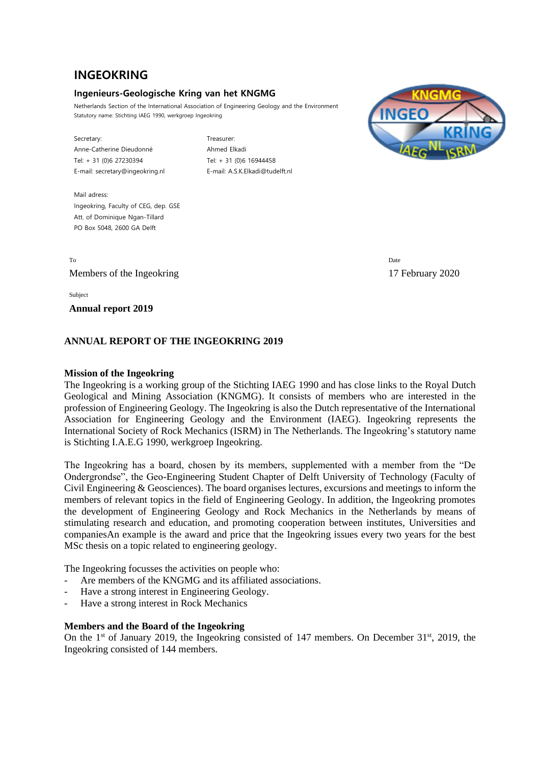# **INGEOKRING**

# **Ingenieurs-Geologische Kring van het KNGMG**

Netherlands Section of the International Association of Engineering Geology and the Environment Statutory name: Stichting IAEG 1990, werkgroep Ingeokring

Secretary: Treasurer: Anne-Catherine Dieudonné **Ahmed Elkadi** Tel: + 31 (0)6 27230394 Tel: + 31 (0)6 16944458 E-mail: secretary@ingeokring.nl E-mail: A.S.K.Elkadi@tudelft.nl



Mail adress Ingeokring, Faculty of CEG, dep. GSE Att. of Dominique Ngan-Tillard PO Box 5048, 2600 GA Delft

To Date and the Date of the United States of the United States of the United States of the Date of the United States of the United States of the United States of the United States of the United States of the United States Members of the Ingeokring 17 February 2020

Subject

**Annual report 2019**

# **ANNUAL REPORT OF THE INGEOKRING 2019**

#### **Mission of the Ingeokring**

The Ingeokring is a working group of the Stichting IAEG 1990 and has close links to the Royal Dutch Geological and Mining Association (KNGMG). It consists of members who are interested in the profession of Engineering Geology. The Ingeokring is also the Dutch representative of the International Association for Engineering Geology and the Environment (IAEG). Ingeokring represents the International Society of Rock Mechanics (ISRM) in The Netherlands. The Ingeokring's statutory name is Stichting I.A.E.G 1990, werkgroep Ingeokring.

The Ingeokring has a board, chosen by its members, supplemented with a member from the "De Ondergrondse", the Geo-Engineering Student Chapter of Delft University of Technology (Faculty of Civil Engineering & Geosciences). The board organises lectures, excursions and meetings to inform the members of relevant topics in the field of Engineering Geology. In addition, the Ingeokring promotes the development of Engineering Geology and Rock Mechanics in the Netherlands by means of stimulating research and education, and promoting cooperation between institutes, Universities and companiesAn example is the award and price that the Ingeokring issues every two years for the best MSc thesis on a topic related to engineering geology.

The Ingeokring focusses the activities on people who:

- Are members of the KNGMG and its affiliated associations.
- Have a strong interest in Engineering Geology.
- Have a strong interest in Rock Mechanics

#### **Members and the Board of the Ingeokring**

On the  $1<sup>st</sup>$  of January 2019, the Ingeokring consisted of 147 members. On December  $31<sup>st</sup>$ , 2019, the Ingeokring consisted of 144 members.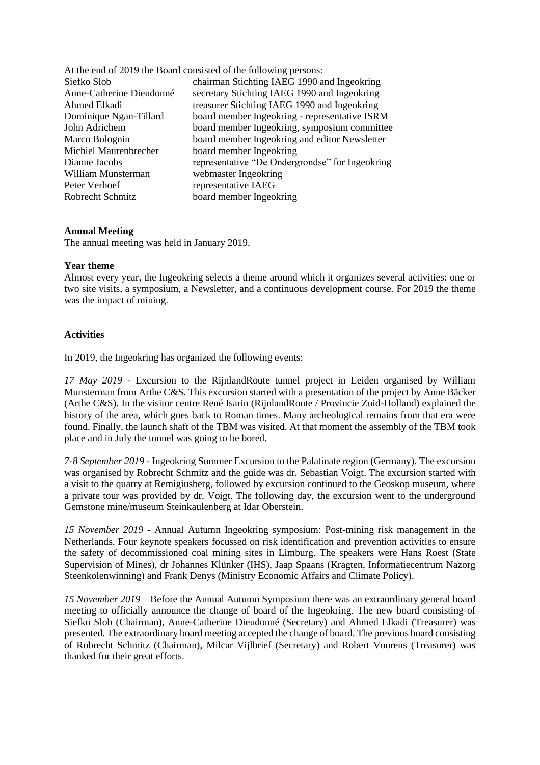|                          | At the end of 2019 the Board consisted of the following persons: |
|--------------------------|------------------------------------------------------------------|
| Siefko Slob              | chairman Stichting IAEG 1990 and Ingeokring                      |
| Anne-Catherine Dieudonné | secretary Stichting IAEG 1990 and Ingeokring                     |
| Ahmed Elkadi             | treasurer Stichting IAEG 1990 and Ingeokring                     |
| Dominique Ngan-Tillard   | board member Ingeokring - representative ISRM                    |
| John Adrichem            | board member Ingeokring, symposium committee                     |
| Marco Bolognin           | board member Ingeokring and editor Newsletter                    |
| Michiel Maurenbrecher    | board member Ingeokring                                          |
| Dianne Jacobs            | representative "De Ondergrondse" for Ingeokring                  |
| William Munsterman       | webmaster Ingeokring                                             |
| Peter Verhoef            | representative IAEG                                              |
| Robrecht Schmitz         | board member Ingeokring                                          |
|                          |                                                                  |

## **Annual Meeting**

The annual meeting was held in January 2019.

#### **Year theme**

Almost every year, the Ingeokring selects a theme around which it organizes several activities: one or two site visits, a symposium, a Newsletter, and a continuous development course. For 2019 the theme was the impact of mining.

#### **Activities**

In 2019, the Ingeokring has organized the following events:

*17 May 2019* - Excursion to the RijnlandRoute tunnel project in Leiden organised by William Munsterman from Arthe C&S. This excursion started with a presentation of the project by Anne Bäcker (Arthe C&S). In the visitor centre René Isarin (RijnlandRoute / Provincie Zuid-Holland) explained the history of the area, which goes back to Roman times. Many archeological remains from that era were found. Finally, the launch shaft of the TBM was visited. At that moment the assembly of the TBM took place and in July the tunnel was going to be bored.

*7-8 September 2019* - Ingeokring Summer Excursion to the Palatinate region (Germany). The excursion was organised by Robrecht Schmitz and the guide was dr. Sebastian Voigt. The excursion started with a visit to the quarry at Remigiusberg, followed by excursion continued to the Geoskop museum, where a private tour was provided by dr. Voigt. The following day, the excursion went to the underground Gemstone mine/museum Steinkaulenberg at Idar Oberstein.

*15 November 2019* - Annual Autumn Ingeokring symposium: Post-mining risk management in the Netherlands. Four keynote speakers focussed on risk identification and prevention activities to ensure the safety of decommissioned coal mining sites in Limburg. The speakers were Hans Roest (State Supervision of Mines), dr Johannes Klünker (IHS), Jaap Spaans (Kragten, Informatiecentrum Nazorg Steenkolenwinning) and Frank Denys (Ministry Economic Affairs and Climate Policy).

*15 November 2019* – Before the Annual Autumn Symposium there was an extraordinary general board meeting to officially announce the change of board of the Ingeokring. The new board consisting of Siefko Slob (Chairman), Anne-Catherine Dieudonné (Secretary) and Ahmed Elkadi (Treasurer) was presented. The extraordinary board meeting accepted the change of board. The previous board consisting of Robrecht Schmitz (Chairman), Milcar Vijlbrief (Secretary) and Robert Vuurens (Treasurer) was thanked for their great efforts.